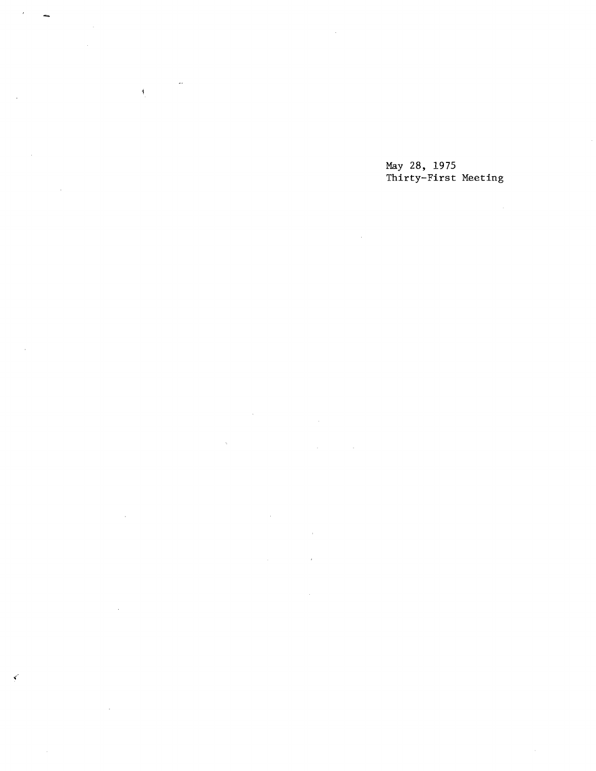May 28, 1975 Thirty-First Meeting

 $\mathcal{A}^{\mathcal{A}}$ 

 $\sim$ 

 $\hat{\mathcal{L}}$ 

J

 $\bar{z}$ 

 $\bar{\alpha}$ 

 $\rightarrow$ 

 $\bar{\gamma}$  $\bar{z}$ 

J.

 $\sim$ 

 $\sim$ 

 $\mathcal{A}_\mathrm{c}$ 

 $\alpha$ 

 $\bar{1}$ 

 $\sim 10^{11}$  km  $^{-1}$ 

 $\langle \cdot, \cdot \rangle$ 

 $\mathcal{L}$ 

 $\mathcal{A}$ 

 $\mathcal{L}_{\mathcal{A}}$ 

 $\sim$ 

 $\prec$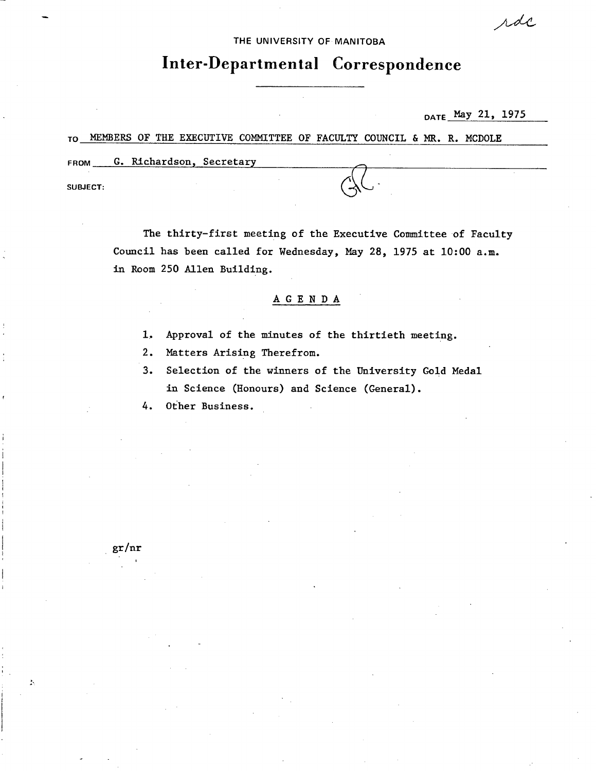rdc

THE UNIVERSITY OF MANITOBA

# **Inter-Departmental Correspondence**

DATE May 21, 1975

TO MEMBERS OF THE EXECUTIVE COMMITTEE OF FACULTY COUNCIL & MR. R. MCDOLE

FROM **G. Richardson**, Secretary

SUBJECT:

The thirty-first meeting of the Executive Committee of Faculty Council has been called for Wednesday, May 28, 1975 at 10:00 a.m. in Room 250 Allen Building.

### A G E N D A

 $1.$ Approval of the minutes of the thirtieth meeting.

2. Matters Arising Therefrom.

3. Selection of the winners of the University Gold Medal in Science (Honours) and Science (General).

 $4.$ Other Business.

gr/nr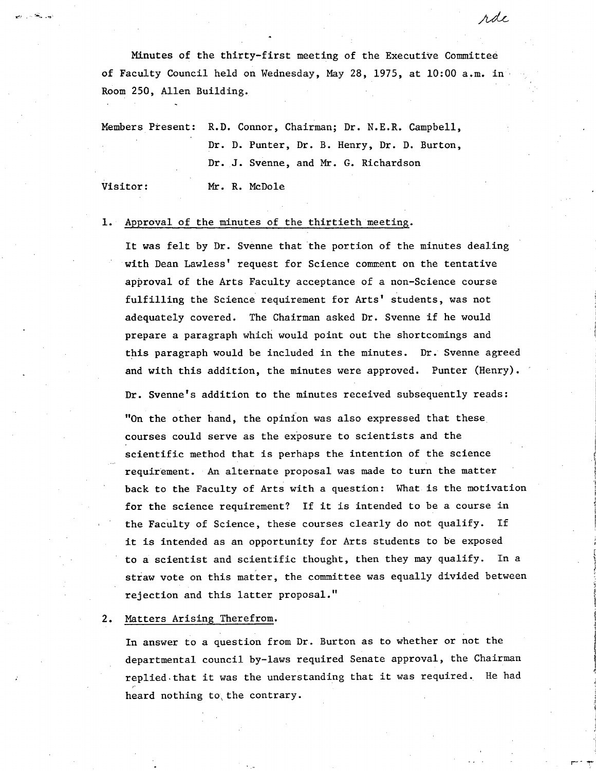Minutes of the thirty-first meeting of the Executive Committee of Faculty Council held on Wednesday, May 28, 1975, at 10:00 a.m. in Room 250, Allen Building.

Members Present: R.D. Connor, Chairman; Dr. N.E.R. Campbell, Dr. D. Punter, Dr. B. Henry, Dr. D. Burton, Dr. J. Svenne, and Mr. G. Richardson

Visitor: Mr. R. McDole

یں کی د

#### 1. Approval of the minutes of the thirtieth meeting.

It was felt by Dr. Svenne that the portion of the minutes dealing with Dean Lawless' request for Science comment on the tentative approval of the Arts Faculty acceptance of a non-Science course fulfilling the Science requirement for Arts' students, was not adequately covered. The Chairman asked Dr. Svenne if he would prepare a paragraph which would point out the shortcomings and this paragraph would be included in the minutes. Dr. Svenne agreed and with this addition, the minutes were approved. Punter (Henry).

Dr. Svenne's addition to the minutes received subsequently reads:

"On the other hand, the opinion was also expressed that these courses could serve as the exposure to scientists and the scientific method that is perhaps the intention of the science requirement. An alternate proposal was made to turn the matter back to the Faculty of Arts with a question: What is the motivation for the science requirement? If it is intended to be a course in the Faculty of Science, these courses clearly do not qualify. If **it is** intended as an opportunity for Arts students to be exposed to a scientist and scientific thought, then they may qualify. In a straw vote on this matter, the committee was equally divided between rejection and this latter proposal."

#### 2. Matters Arising Therefrom.

In answer to a question from Dr. Burton as to whether or not the departmental council by-laws required Senate approval, the Chairman replied.that it was the understanding that it was required. He had heard nothing to the contrary.

rde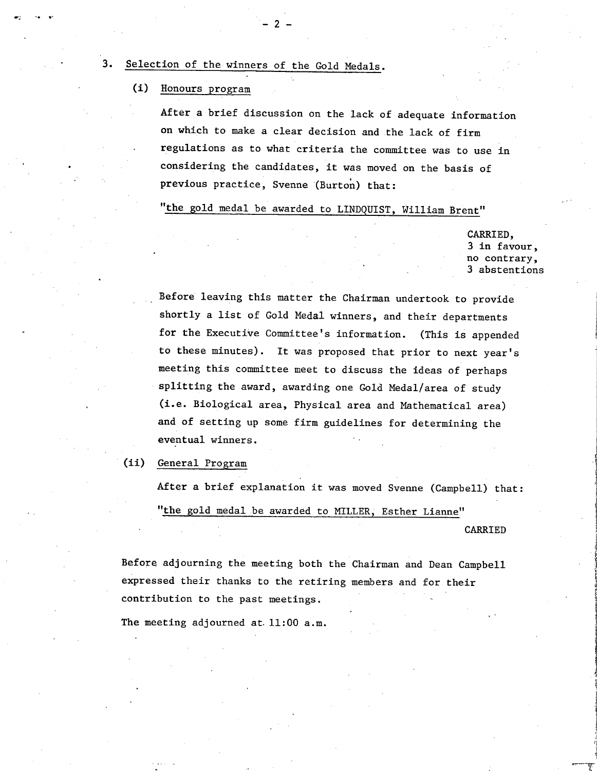3. Selection of the winners of the Gold Medals.

(1) Honours program

After a brief discussion on the lack of adequate information on which to make a clear decision and the lack of firm regulations as to what criteria the committee was to use in considering the candidates, it was moved on the basis of previous practice, Svenne (Burton) that:

"the gold medal be awarded to LINDQUIST, William Brent"

CARRIED, 3 in favour, no contrary, 3 abstentions

Before leaving this matter the Chairman undertook to provide shortly a list of Gold Medal winners, and their departments for the Executive Committee's information. (This is appended to these minutes). It was proposed that prior to next year's meeting this committee meet to discuss the ideas of perhaps splitting the award, awarding one Gold Medal/area of study (i.e. Biological area, Physical area and Mathematical area) and of setting up some firm guidelines for determining the eventual winners.

(ii) General Program

After a brief explanation it was moved Svenne (Campbell) that: "the gold medal be awarded to MILLER, Esther Lianne" CARRIED

Before adjourning the meeting both the Chairman and Dean Campbell expressed their thanks to the retiring members and for their contribution to the past meetings.

The meeting adjourned at. 11:00 a.m.

-2-